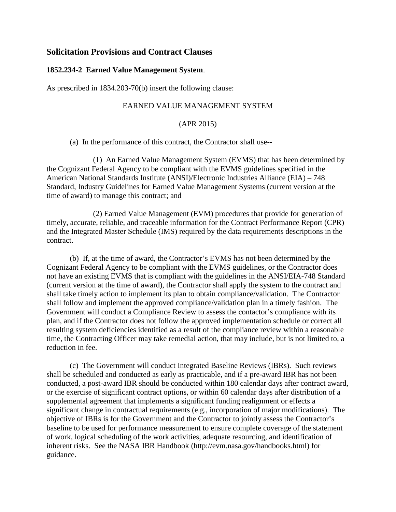# **Solicitation Provisions and Contract Clauses**

#### **1852.234-2 Earned Value Management System**.

As prescribed in 1834.203-70(b) insert the following clause:

## EARNED VALUE MANAGEMENT SYSTEM

#### (APR 2015)

(a) In the performance of this contract, the Contractor shall use--

(1) An Earned Value Management System (EVMS) that has been determined by the Cognizant Federal Agency to be compliant with the EVMS guidelines specified in the American National Standards Institute (ANSI)/Electronic Industries Alliance (EIA) – 748 Standard, Industry Guidelines for Earned Value Management Systems (current version at the time of award) to manage this contract; and

(2) Earned Value Management (EVM) procedures that provide for generation of timely, accurate, reliable, and traceable information for the Contract Performance Report (CPR) and the Integrated Master Schedule (IMS) required by the data requirements descriptions in the contract.

(b) If, at the time of award, the Contractor's EVMS has not been determined by the Cognizant Federal Agency to be compliant with the EVMS guidelines, or the Contractor does not have an existing EVMS that is compliant with the guidelines in the ANSI/EIA-748 Standard (current version at the time of award), the Contractor shall apply the system to the contract and shall take timely action to implement its plan to obtain compliance/validation. The Contractor shall follow and implement the approved compliance/validation plan in a timely fashion. The Government will conduct a Compliance Review to assess the contactor's compliance with its plan, and if the Contractor does not follow the approved implementation schedule or correct all resulting system deficiencies identified as a result of the compliance review within a reasonable time, the Contracting Officer may take remedial action, that may include, but is not limited to, a reduction in fee.

(c) The Government will conduct Integrated Baseline Reviews (IBRs). Such reviews shall be scheduled and conducted as early as practicable, and if a pre-award IBR has not been conducted, a post-award IBR should be conducted within 180 calendar days after contract award, or the exercise of significant contract options, or within 60 calendar days after distribution of a supplemental agreement that implements a significant funding realignment or effects a significant change in contractual requirements (e.g., incorporation of major modifications). The objective of IBRs is for the Government and the Contractor to jointly assess the Contractor's baseline to be used for performance measurement to ensure complete coverage of the statement of work, logical scheduling of the work activities, adequate resourcing, and identification of inherent risks. See the NASA IBR Handbook (http://evm.nasa.gov/handbooks.html) for guidance.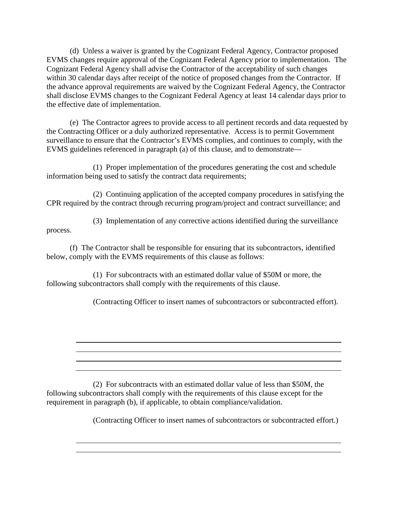(d) Unless a waiver is granted by the Cognizant Federal Agency, Contractor proposed EVMS changes require approval of the Cognizant Federal Agency prior to implementation. The Cognizant Federal Agency shall advise the Contractor of the acceptability of such changes within 30 calendar days after receipt of the notice of proposed changes from the Contractor. If the advance approval requirements are waived by the Cognizant Federal Agency, the Contractor shall disclose EVMS changes to the Cognizant Federal Agency at least 14 calendar days prior to the effective date of implementation.

(e) The Contractor agrees to provide access to all pertinent records and data requested by the Contracting Officer or a duly authorized representative. Access is to permit Government surveillance to ensure that the Contractor's EVMS complies, and continues to comply, with the EVMS guidelines referenced in paragraph (a) of this clause, and to demonstrate—

(1) Proper implementation of the procedures generating the cost and schedule information being used to satisfy the contract data requirements;

(2) Continuing application of the accepted company procedures in satisfying the CPR required by the contract through recurring program/project and contract surveillance; and

(3) Implementation of any corrective actions identified during the surveillance process.

(f) The Contractor shall be responsible for ensuring that its subcontractors, identified below, comply with the EVMS requirements of this clause as follows:

(1) For subcontracts with an estimated dollar value of \$50M or more, the following subcontractors shall comply with the requirements of this clause.

(Contracting Officer to insert names of subcontractors or subcontracted effort).

(2) For subcontracts with an estimated dollar value of less than \$50M, the following subcontractors shall comply with the requirements of this clause except for the requirement in paragraph (b), if applicable, to obtain compliance/validation.

(Contracting Officer to insert names of subcontractors or subcontracted effort.)